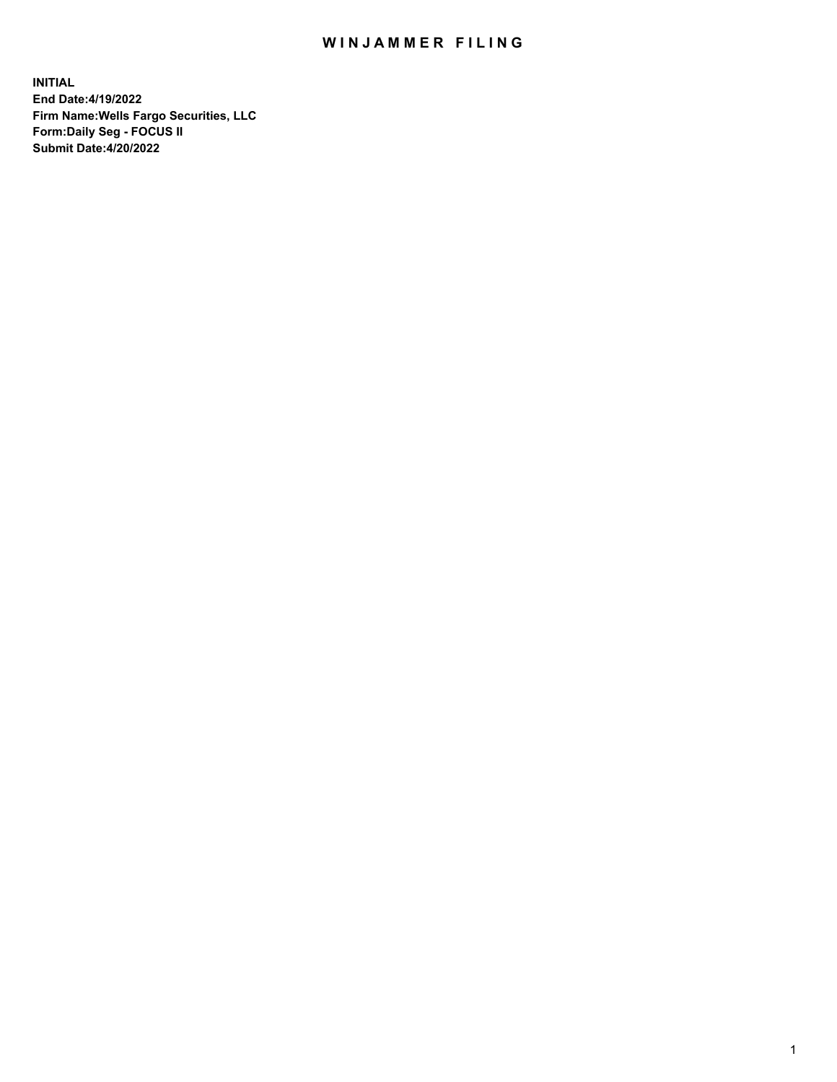## WIN JAMMER FILING

**INITIAL End Date:4/19/2022 Firm Name:Wells Fargo Securities, LLC Form:Daily Seg - FOCUS II Submit Date:4/20/2022**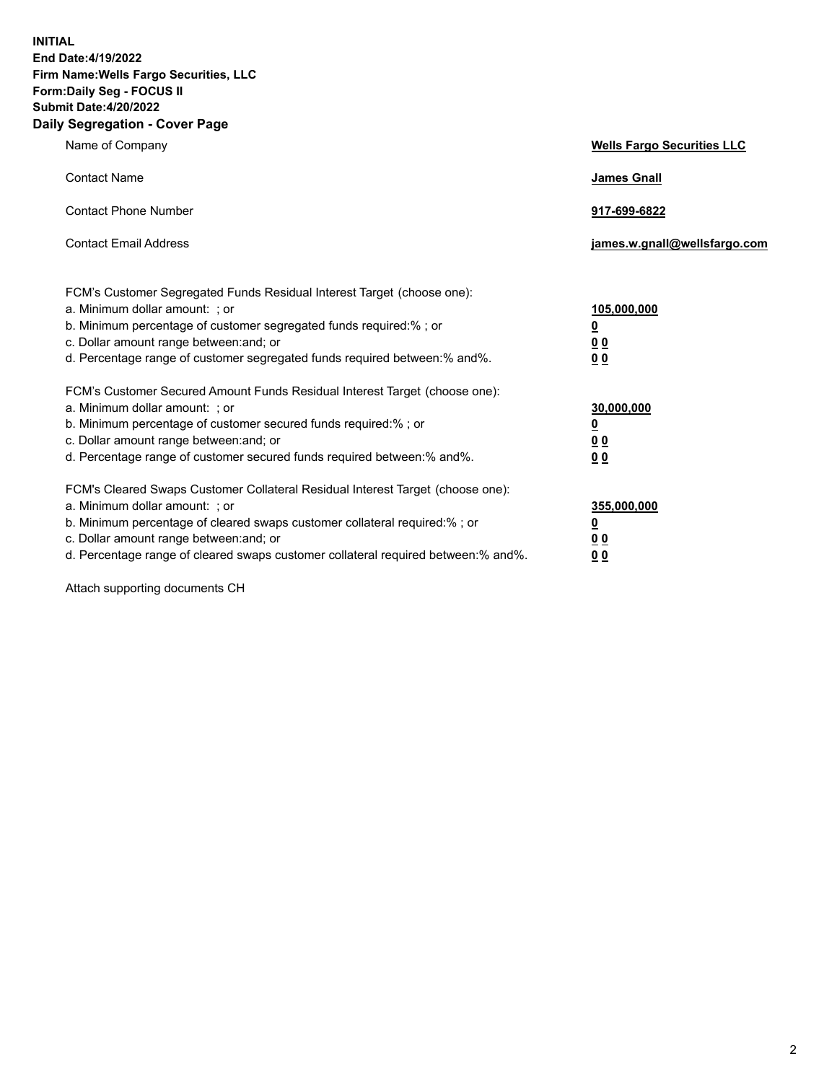**INITIAL End Date:4/19/2022 Firm Name:Wells Fargo Securities, LLC Form:Daily Seg - FOCUS II Submit Date:4/20/2022 Daily Segregation - Cover Page**

| Name of Company                                                                                                                                                                                                                                                                                                                | <b>Wells Fargo Securities LLC</b>                          |
|--------------------------------------------------------------------------------------------------------------------------------------------------------------------------------------------------------------------------------------------------------------------------------------------------------------------------------|------------------------------------------------------------|
| <b>Contact Name</b>                                                                                                                                                                                                                                                                                                            | <b>James Gnall</b>                                         |
| <b>Contact Phone Number</b>                                                                                                                                                                                                                                                                                                    | 917-699-6822                                               |
| <b>Contact Email Address</b>                                                                                                                                                                                                                                                                                                   | james.w.gnall@wellsfargo.com                               |
| FCM's Customer Segregated Funds Residual Interest Target (choose one):<br>a. Minimum dollar amount: ; or<br>b. Minimum percentage of customer segregated funds required:% ; or<br>c. Dollar amount range between: and; or<br>d. Percentage range of customer segregated funds required between:% and%.                         | 105,000,000<br><u>0</u><br>0 <sub>0</sub><br>00            |
| FCM's Customer Secured Amount Funds Residual Interest Target (choose one):<br>a. Minimum dollar amount: ; or<br>b. Minimum percentage of customer secured funds required:%; or<br>c. Dollar amount range between: and; or<br>d. Percentage range of customer secured funds required between:% and%.                            | 30,000,000<br><u>0</u><br>0 <sub>0</sub><br>0 <sub>0</sub> |
| FCM's Cleared Swaps Customer Collateral Residual Interest Target (choose one):<br>a. Minimum dollar amount: ; or<br>b. Minimum percentage of cleared swaps customer collateral required:% ; or<br>c. Dollar amount range between: and; or<br>d. Percentage range of cleared swaps customer collateral required between:% and%. | 355,000,000<br><u>0</u><br>00<br>00                        |

Attach supporting documents CH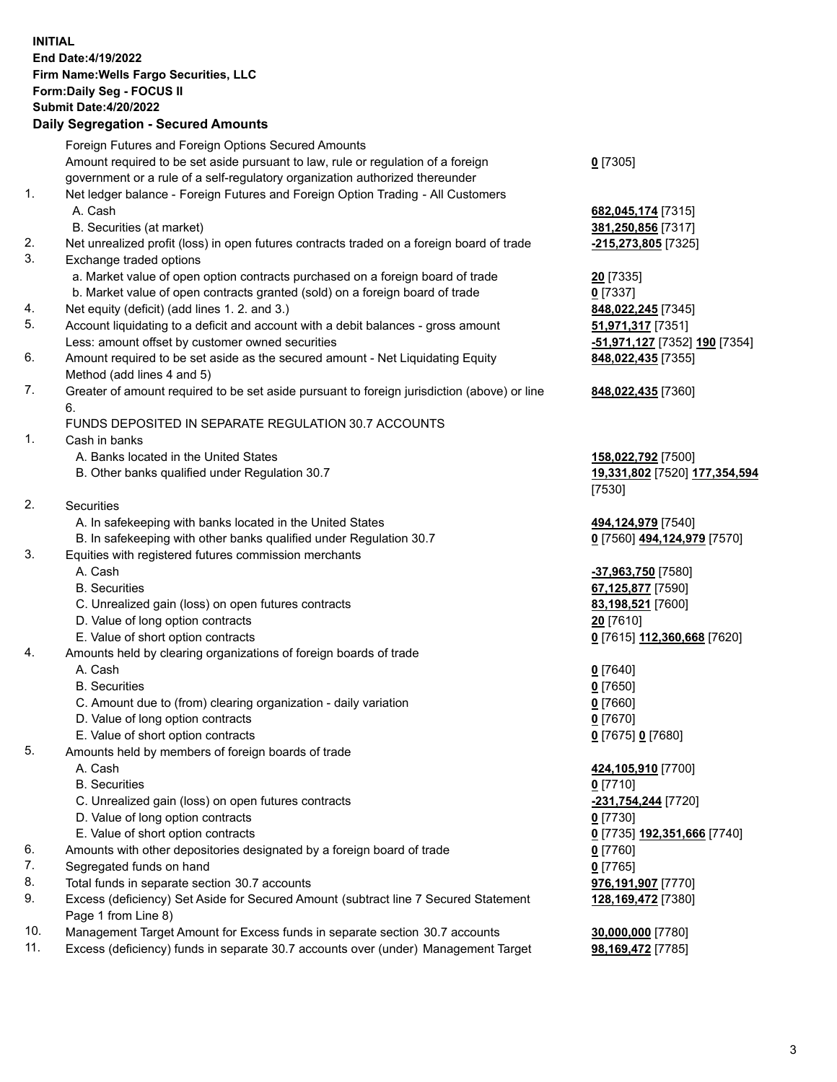**INITIAL End Date:4/19/2022 Firm Name:Wells Fargo Securities, LLC Form:Daily Seg - FOCUS II Submit Date:4/20/2022 Daily Segregation - Secured Amounts**

|     | Foreign Futures and Foreign Options Secured Amounts                                         |                               |
|-----|---------------------------------------------------------------------------------------------|-------------------------------|
|     | Amount required to be set aside pursuant to law, rule or regulation of a foreign            | $0$ [7305]                    |
|     | government or a rule of a self-regulatory organization authorized thereunder                |                               |
| 1.  | Net ledger balance - Foreign Futures and Foreign Option Trading - All Customers             |                               |
|     | A. Cash                                                                                     | 682,045,174 [7315]            |
|     | B. Securities (at market)                                                                   | 381,250,856 [7317]            |
| 2.  | Net unrealized profit (loss) in open futures contracts traded on a foreign board of trade   | -215,273,805 [7325]           |
| 3.  | Exchange traded options                                                                     |                               |
|     | a. Market value of open option contracts purchased on a foreign board of trade              | 20 [7335]                     |
|     | b. Market value of open contracts granted (sold) on a foreign board of trade                | $0$ [7337]                    |
| 4.  | Net equity (deficit) (add lines 1. 2. and 3.)                                               | 848,022,245 [7345]            |
| 5.  | Account liquidating to a deficit and account with a debit balances - gross amount           | 51,971,317 [7351]             |
|     | Less: amount offset by customer owned securities                                            | -51,971,127 [7352] 190 [7354] |
| 6.  | Amount required to be set aside as the secured amount - Net Liquidating Equity              | 848,022,435 [7355]            |
|     | Method (add lines 4 and 5)                                                                  |                               |
| 7.  | Greater of amount required to be set aside pursuant to foreign jurisdiction (above) or line | 848,022,435 [7360]            |
|     | 6.                                                                                          |                               |
|     | FUNDS DEPOSITED IN SEPARATE REGULATION 30.7 ACCOUNTS                                        |                               |
| 1.  | Cash in banks                                                                               |                               |
|     | A. Banks located in the United States                                                       | 158,022,792 [7500]            |
|     | B. Other banks qualified under Regulation 30.7                                              | 19,331,802 [7520] 177,354,594 |
|     |                                                                                             | [7530]                        |
| 2.  | Securities                                                                                  |                               |
|     | A. In safekeeping with banks located in the United States                                   | 494,124,979 [7540]            |
|     | B. In safekeeping with other banks qualified under Regulation 30.7                          | 0 [7560] 494,124,979 [7570]   |
| 3.  | Equities with registered futures commission merchants                                       |                               |
|     | A. Cash                                                                                     | -37,963,750 [7580]            |
|     | <b>B.</b> Securities                                                                        | 67,125,877 [7590]             |
|     | C. Unrealized gain (loss) on open futures contracts                                         | 83,198,521 [7600]             |
|     | D. Value of long option contracts                                                           | 20 [7610]                     |
|     | E. Value of short option contracts                                                          | 0 [7615] 112,360,668 [7620]   |
| 4.  | Amounts held by clearing organizations of foreign boards of trade                           |                               |
|     | A. Cash                                                                                     | $0$ [7640]                    |
|     | <b>B.</b> Securities                                                                        | $0$ [7650]                    |
|     | C. Amount due to (from) clearing organization - daily variation                             | $0$ [7660]                    |
|     | D. Value of long option contracts                                                           | $0$ [7670]                    |
|     | E. Value of short option contracts                                                          | 0 [7675] 0 [7680]             |
| 5.  | Amounts held by members of foreign boards of trade                                          |                               |
|     | A. Cash                                                                                     | 424,105,910 [7700]            |
|     | <b>B.</b> Securities                                                                        | $0$ [7710]                    |
|     | C. Unrealized gain (loss) on open futures contracts                                         | -231,754,244 [7720]           |
|     | D. Value of long option contracts                                                           | $0$ [7730]                    |
|     | E. Value of short option contracts                                                          | 0 [7735] 192,351,666 [7740]   |
| 6.  | Amounts with other depositories designated by a foreign board of trade                      | $0$ [7760]                    |
| 7.  | Segregated funds on hand                                                                    | $0$ [7765]                    |
| 8.  | Total funds in separate section 30.7 accounts                                               | 976,191,907 [7770]            |
| 9.  | Excess (deficiency) Set Aside for Secured Amount (subtract line 7 Secured Statement         | 128,169,472 [7380]            |
|     | Page 1 from Line 8)                                                                         |                               |
| 10. | Management Target Amount for Excess funds in separate section 30.7 accounts                 | 30,000,000 [7780]             |

11. Excess (deficiency) funds in separate 30.7 accounts over (under) Management Target **98,169,472** [7785]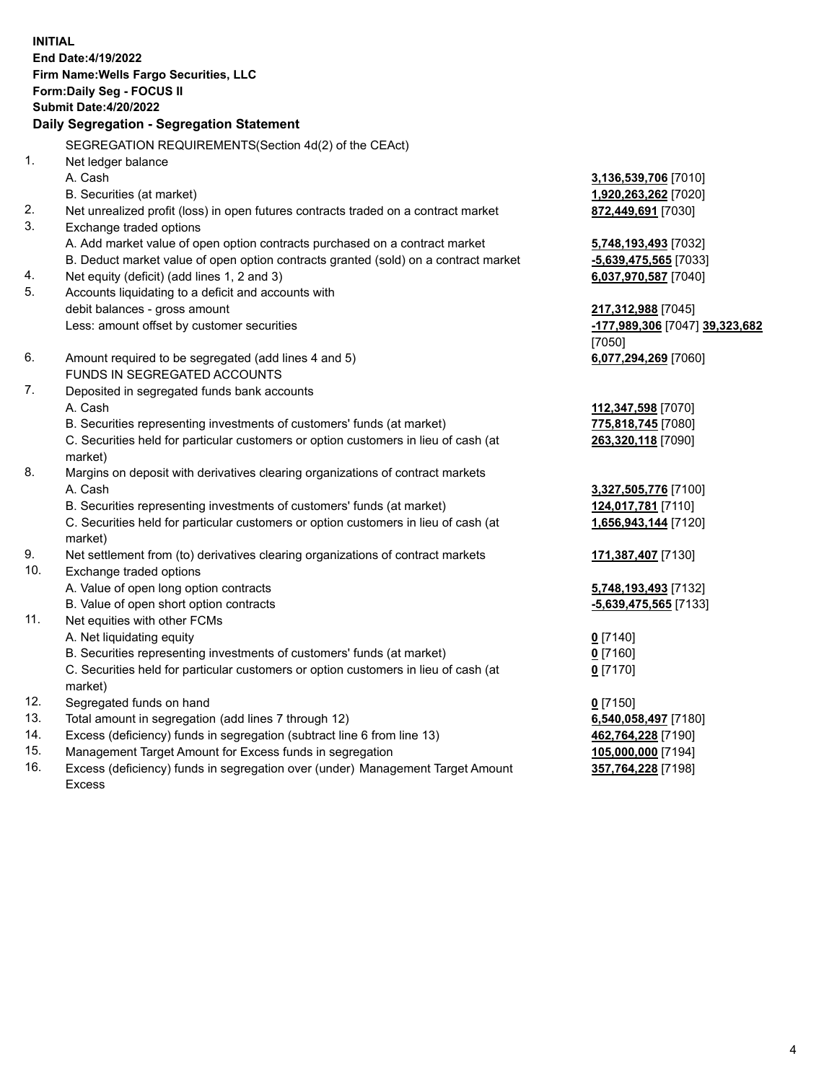**INITIAL End Date:4/19/2022 Firm Name:Wells Fargo Securities, LLC Form:Daily Seg - FOCUS II Submit Date:4/20/2022 Daily Segregation - Segregation Statement** SEGREGATION REQUIREMENTS(Section 4d(2) of the CEAct) 1. Net ledger balance A. Cash **3,136,539,706** [7010] B. Securities (at market) **1,920,263,262** [7020] 2. Net unrealized profit (loss) in open futures contracts traded on a contract market **872,449,691** [7030] 3. Exchange traded options A. Add market value of open option contracts purchased on a contract market **5,748,193,493** [7032] B. Deduct market value of open option contracts granted (sold) on a contract market **-5,639,475,565** [7033] 4. Net equity (deficit) (add lines 1, 2 and 3) **6,037,970,587** [7040] 5. Accounts liquidating to a deficit and accounts with debit balances - gross amount **217,312,988** [7045] Less: amount offset by customer securities **-177,989,306** [7047] **39,323,682** [7050] 6. Amount required to be segregated (add lines 4 and 5) **6,077,294,269** [7060] FUNDS IN SEGREGATED ACCOUNTS 7. Deposited in segregated funds bank accounts A. Cash **112,347,598** [7070] B. Securities representing investments of customers' funds (at market) **775,818,745** [7080] C. Securities held for particular customers or option customers in lieu of cash (at market) **263,320,118** [7090] 8. Margins on deposit with derivatives clearing organizations of contract markets A. Cash **3,327,505,776** [7100] B. Securities representing investments of customers' funds (at market) **124,017,781** [7110] C. Securities held for particular customers or option customers in lieu of cash (at market) **1,656,943,144** [7120] 9. Net settlement from (to) derivatives clearing organizations of contract markets **171,387,407** [7130] 10. Exchange traded options A. Value of open long option contracts **5,748,193,493** [7132] B. Value of open short option contracts **-5,639,475,565** [7133] 11. Net equities with other FCMs

A. Net liquidating equity **0** [7140]

B. Securities representing investments of customers' funds (at market) **0** [7160]

C. Securities held for particular customers or option customers in lieu of cash (at market)

- 12. Segregated funds on hand **0** [7150]
- 13. Total amount in segregation (add lines 7 through 12) **6,540,058,497** [7180]
- 14. Excess (deficiency) funds in segregation (subtract line 6 from line 13) **462,764,228** [7190]
- 15. Management Target Amount for Excess funds in segregation **105,000,000** [7194]

16. Excess (deficiency) funds in segregation over (under) Management Target Amount Excess

**0** [7170]

**357,764,228** [7198]